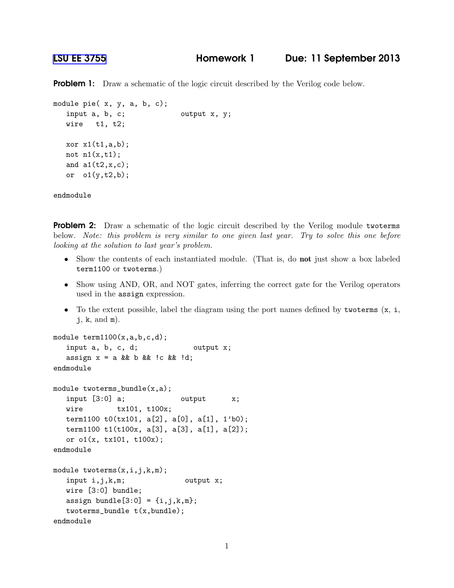**Problem 1:** Draw a schematic of the logic circuit described by the Verilog code below.

```
module pie( x, y, a, b, c);
  input a, b, c; output x, y;
  wire t1, t2;
  xor x1(t1,a,b);
  not n1(x,t1);and a1(t2,x,c);
  or o1(y,t2,b);
```
endmodule

**Problem 2:** Draw a schematic of the logic circuit described by the Verilog module twoterms below. *Note: this problem is very similar to one given last year. Try to solve this one before looking at the solution to last year's problem.*

- Show the contents of each instantiated module. (That is, do **not** just show a box labeled term1100 or twoterms.)
- Show using AND, OR, and NOT gates, inferring the correct gate for the Verilog operators used in the assign expression.
- To the extent possible, label the diagram using the port names defined by two terms  $(x, i, j)$ j, k, and m).

```
module term1100(x,a,b,c,d);
   input a, b, c, d; output x;assign x = a & & b & & !c & & !d;
endmodule
module twoterms_bundle(x,a);
  input [3:0] a; \qquad \qquad output \qquad x;
  wire tx101, t100x;
  term1100 t0(tx101, a[2], a[0], a[1], 1'b0);
  term1100 t1(t100x, a[3], a[3], a[1], a[2]);
  or o1(x, tx101, t100x);
endmodule
module twoterms(x,i,j,k,m);
   input i,j,k,m; output x;
  wire [3:0] bundle;
  assign bundle[3:0] = \{i,j,k,m\};twoterms_bundle t(x,bundle);
endmodule
```